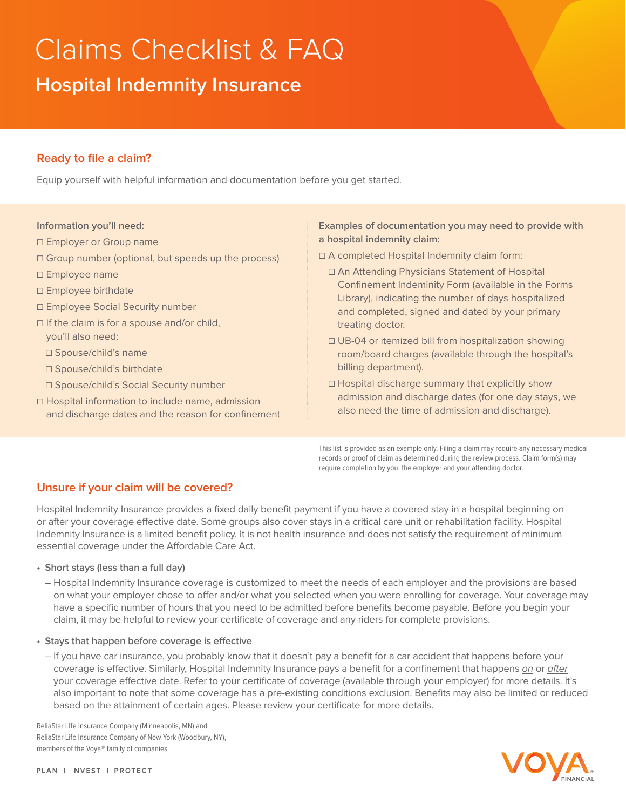# Claims Checklist & FAQ **Hospital Indemnity Insurance**

# **Ready to file a claim?**

Equip yourself with helpful information and documentation before you get started.

#### **Information you'll need:**

- □ Employer or Group name
- ☐ Group number (optional, but speeds up the process)
- ☐ Employee name
- ☐ Employee birthdate
- ☐ Employee Social Security number
- ☐ If the claim is for a spouse and/or child, you'll also need:
	- ☐ Spouse/child's name
	- ☐ Spouse/child's birthdate
	- ☐ Spouse/child's Social Security number
- ☐ Hospital information to include name, admission and discharge dates and the reason for confinement

#### **Examples of documentation you may need to provide with a hospital indemnity claim:**

- ☐ A completed Hospital Indemnity claim form:
	- ☐ An Attending Physicians Statement of Hospital Confinement Indeminity Form (available in the Forms Library), indicating the number of days hospitalized and completed, signed and dated by your primary treating doctor.
	- ☐ UB-04 or itemized bill from hospitalization showing room/board charges (available through the hospital's billing department).
	- ☐ Hospital discharge summary that explicitly show admission and discharge dates (for one day stays, we also need the time of admission and discharge).

This list is provided as an example only. Filing a claim may require any necessary medical records or proof of claim as determined during the review process. Claim form(s) may require completion by you, the employer and your attending doctor.

# **Unsure if your claim will be covered?**

Hospital Indemnity Insurance provides a fixed daily benefit payment if you have a covered stay in a hospital beginning on or after your coverage effective date. Some groups also cover stays in a critical care unit or rehabilitation facility. Hospital Indemnity Insurance is a limited benefit policy. It is not health insurance and does not satisfy the requirement of minimum essential coverage under the Affordable Care Act.

- **• Short stays (less than a full day)**
	- Hospital Indemnity Insurance coverage is customized to meet the needs of each employer and the provisions are based on what your employer chose to offer and/or what you selected when you were enrolling for coverage. Your coverage may have a specific number of hours that you need to be admitted before benefits become payable. Before you begin your claim, it may be helpful to review your certificate of coverage and any riders for complete provisions.
- **• Stays that happen before coverage is effective**
	- If you have car insurance, you probably know that it doesn't pay a benefit for a car accident that happens before your coverage is effective. Similarly, Hospital Indemnity Insurance pays a benefit for a confinement that happens on or after your coverage effective date. Refer to your certificate of coverage (available through your employer) for more details. It's also important to note that some coverage has a pre-existing conditions exclusion. Benefits may also be limited or reduced based on the attainment of certain ages. Please review your certificate for more details.

ReliaStar LIfe Insurance Company (Minneapolis, MN) and ReliaStar Life Insurance Company of New York (Woodbury, NY), members of the Voya® family of companies